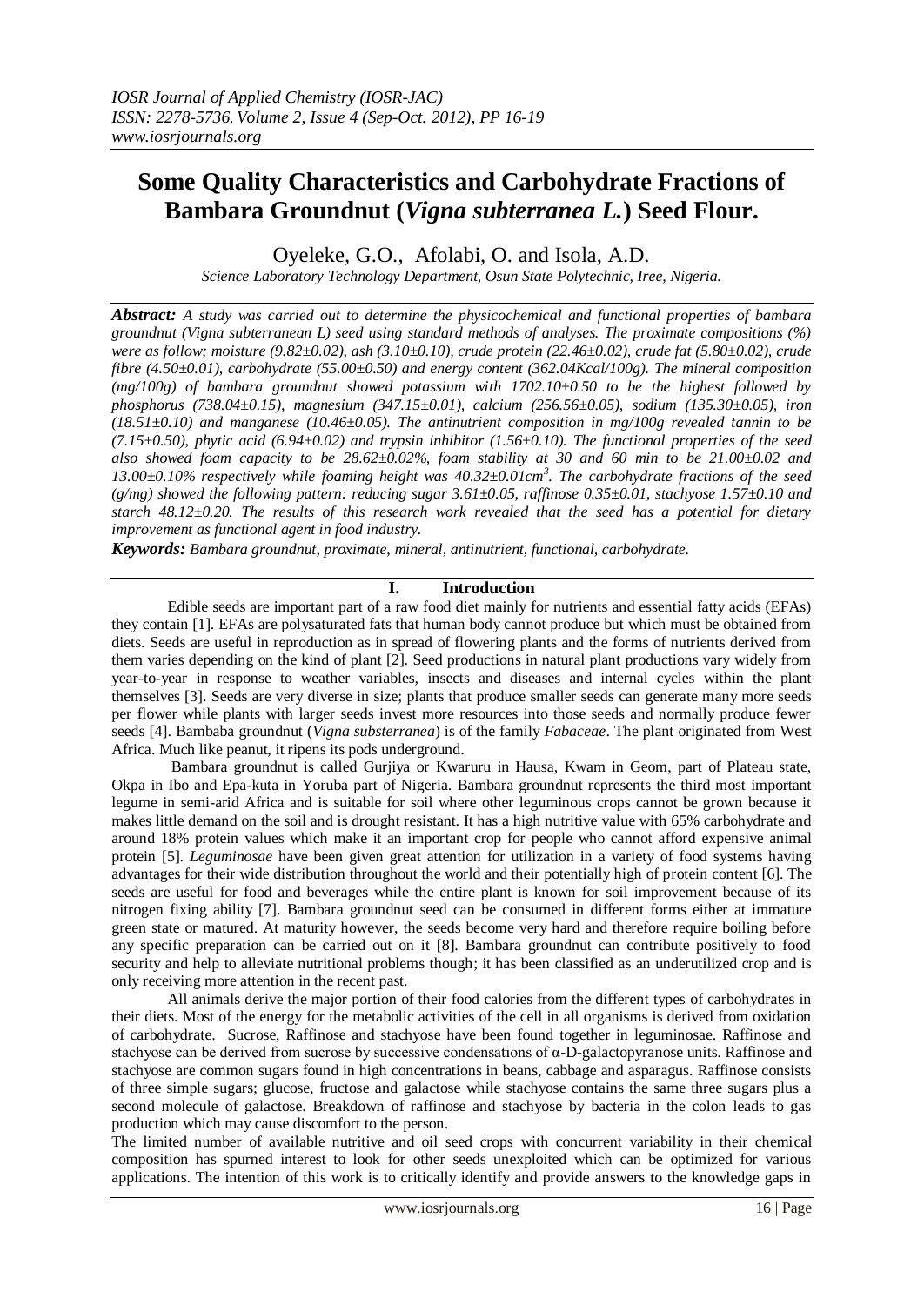# **Some Quality Characteristics and Carbohydrate Fractions of Bambara Groundnut (***Vigna subterranea L.***) Seed Flour.**

Oyeleke, G.O., Afolabi, O. and Isola, A.D.

*Science Laboratory Technology Department, Osun State Polytechnic, Iree, Nigeria.*

*Abstract: A study was carried out to determine the physicochemical and functional properties of bambara groundnut (Vigna subterranean L) seed using standard methods of analyses. The proximate compositions (%) were as follow; moisture (9.82±0.02), ash (3.10±0.10), crude protein (22.46±0.02), crude fat (5.80±0.02), crude fibre (4.50±0.01), carbohydrate (55.00±0.50) and energy content (362.04Kcal/100g). The mineral composition (mg/100g) of bambara groundnut showed potassium with 1702.10±0.50 to be the highest followed by phosphorus (738.04±0.15), magnesium (347.15±0.01), calcium (256.56±0.05), sodium (135.30±0.05), iron (18.51±0.10) and manganese (10.46±0.05). The antinutrient composition in mg/100g revealed tannin to be (7.15±0.50), phytic acid (6.94±0.02) and trypsin inhibitor (1.56±0.10). The functional properties of the seed also showed foam capacity to be 28.62±0.02%, foam stability at 30 and 60 min to be 21.00±0.02 and 13.00±0.10% respectively while foaming height was 40.32±0.01cm<sup>3</sup> . The carbohydrate fractions of the seed (g/mg) showed the following pattern: reducing sugar 3.61±0.05, raffinose 0.35±0.01, stachyose 1.57±0.10 and starch 48.12±0.20. The results of this research work revealed that the seed has a potential for dietary improvement as functional agent in food industry.*

*Keywords: Bambara groundnut, proximate, mineral, antinutrient, functional, carbohydrate.*

# **I. Introduction**

 Edible seeds are important part of a raw food diet mainly for nutrients and essential fatty acids (EFAs) they contain [1]. EFAs are polysaturated fats that human body cannot produce but which must be obtained from diets. Seeds are useful in reproduction as in spread of flowering plants and the forms of nutrients derived from them varies depending on the kind of plant [2]. Seed productions in natural plant productions vary widely from year-to-year in response to weather variables, insects and diseases and internal cycles within the plant themselves [3]. Seeds are very diverse in size; plants that produce smaller seeds can generate many more seeds per flower while plants with larger seeds invest more resources into those seeds and normally produce fewer seeds [4]. Bambaba groundnut (*Vigna substerranea*) is of the family *Fabaceae*. The plant originated from West Africa. Much like peanut, it ripens its pods underground.

 Bambara groundnut is called Gurjiya or Kwaruru in Hausa, Kwam in Geom, part of Plateau state, Okpa in Ibo and Epa-kuta in Yoruba part of Nigeria. Bambara groundnut represents the third most important legume in semi-arid Africa and is suitable for soil where other leguminous crops cannot be grown because it makes little demand on the soil and is drought resistant. It has a high nutritive value with 65% carbohydrate and around 18% protein values which make it an important crop for people who cannot afford expensive animal protein [5]. *Leguminosae* have been given great attention for utilization in a variety of food systems having advantages for their wide distribution throughout the world and their potentially high of protein content [6]. The seeds are useful for food and beverages while the entire plant is known for soil improvement because of its nitrogen fixing ability [7]. Bambara groundnut seed can be consumed in different forms either at immature green state or matured. At maturity however, the seeds become very hard and therefore require boiling before any specific preparation can be carried out on it [8]. Bambara groundnut can contribute positively to food security and help to alleviate nutritional problems though; it has been classified as an underutilized crop and is only receiving more attention in the recent past.

All animals derive the major portion of their food calories from the different types of carbohydrates in their diets. Most of the energy for the metabolic activities of the cell in all organisms is derived from oxidation of carbohydrate. Sucrose, Raffinose and stachyose have been found together in leguminosae. Raffinose and stachyose can be derived from sucrose by successive condensations of α-D-galactopyranose units. Raffinose and stachyose are common sugars found in high concentrations in beans, cabbage and asparagus. Raffinose consists of three simple sugars; glucose, fructose and galactose while stachyose contains the same three sugars plus a second molecule of galactose. Breakdown of raffinose and stachyose by bacteria in the colon leads to gas production which may cause discomfort to the person.

The limited number of available nutritive and oil seed crops with concurrent variability in their chemical composition has spurned interest to look for other seeds unexploited which can be optimized for various applications. The intention of this work is to critically identify and provide answers to the knowledge gaps in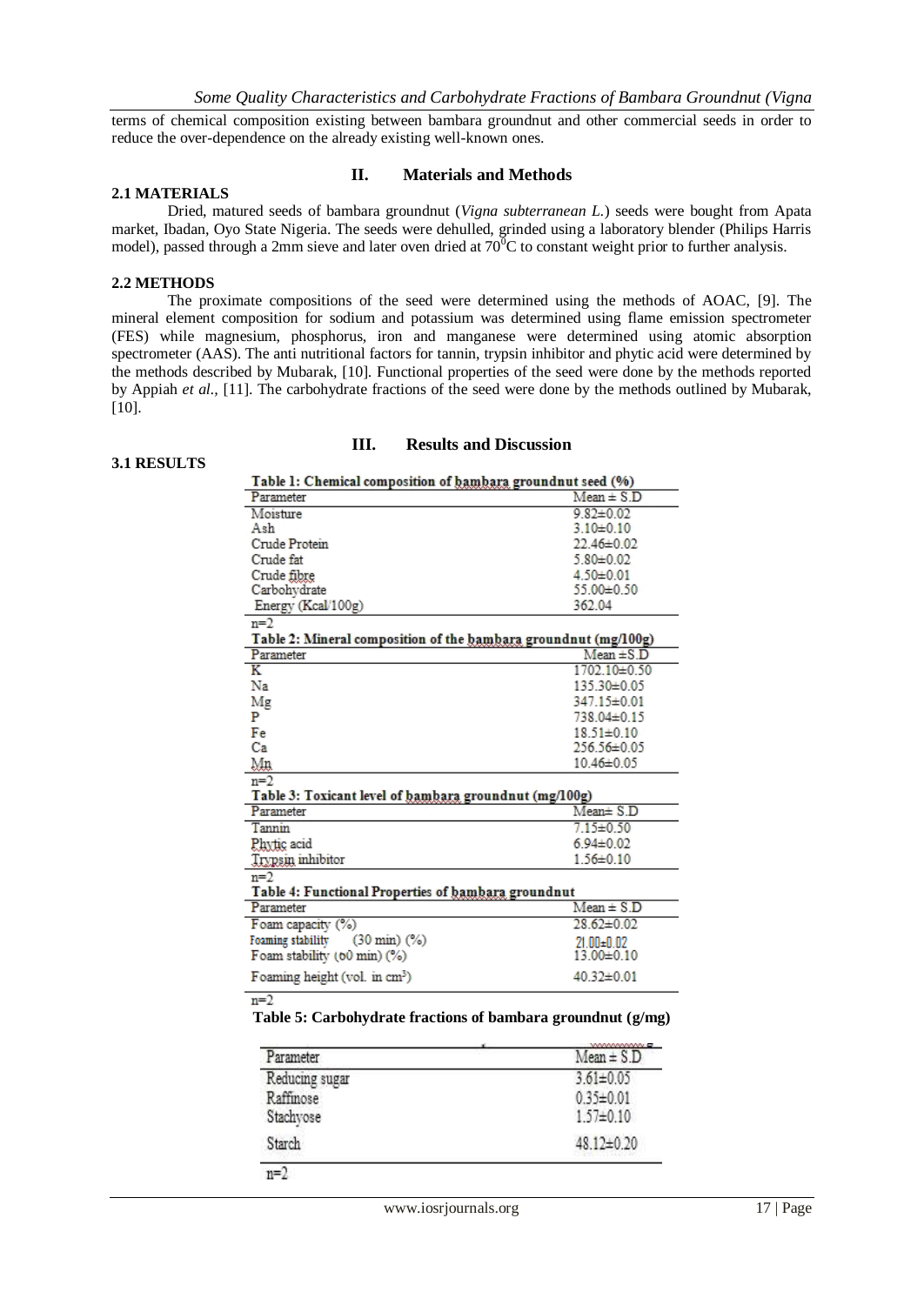terms of chemical composition existing between bambara groundnut and other commercial seeds in order to reduce the over-dependence on the already existing well-known ones.

#### **2.1 MATERIALS**

### **II. Materials and Methods**

Dried, matured seeds of bambara groundnut (*Vigna subterranean L.*) seeds were bought from Apata market, Ibadan, Oyo State Nigeria. The seeds were dehulled, grinded using a laboratory blender (Philips Harris model), passed through a 2mm sieve and later oven dried at  $70^{\circ}$ C to constant weight prior to further analysis.

#### **2.2 METHODS**

The proximate compositions of the seed were determined using the methods of AOAC, [9]. The mineral element composition for sodium and potassium was determined using flame emission spectrometer (FES) while magnesium, phosphorus, iron and manganese were determined using atomic absorption spectrometer (AAS). The anti nutritional factors for tannin, trypsin inhibitor and phytic acid were determined by the methods described by Mubarak, [10]. Functional properties of the seed were done by the methods reported by Appiah *et al.,* [11]. The carbohydrate fractions of the seed were done by the methods outlined by Mubarak, [10].

#### **3.1 RESULTS**

#### **III. Results and Discussion**

| Table 1: Chemical composition of hambara groundnut seed (%)     |                   |
|-----------------------------------------------------------------|-------------------|
| Parameter                                                       | $Mean \pm S.D$    |
| Moisture                                                        | $9.82 \pm 0.02$   |
| Ash                                                             | $3.10 \pm 0.10$   |
| Crude Protein                                                   | $22.46 \pm 0.02$  |
| Crude fat                                                       | $5.80 \pm 0.02$   |
| Crude fibre                                                     | $4.50 \pm 0.01$   |
| Carbohydrate                                                    | 55,00±0.50        |
| Energy (Kcal/100g)                                              | 362.04            |
| $n=2$                                                           |                   |
| Table 2: Mineral composition of the bambara groundnut (mg/100g) |                   |
| Parameter                                                       | $Mean \pm S.D$    |
| Κ                                                               | 1702.10±0.50      |
| Na                                                              | 135.30±0.05       |
| Mg                                                              | 347.15±0.01       |
| P                                                               | 738.04±0.15       |
| Fe                                                              | $18.51 \pm 0.10$  |
| Ca                                                              | $256.56 \pm 0.05$ |
| Mn                                                              | $10.46 \pm 0.05$  |
| $n=2$                                                           |                   |
| Table 3: Toxicant level of bambara groundnut (mg/100g)          |                   |
| Parameter                                                       | $Mean \pm S.D$    |
| Tannin                                                          | $7.15 \pm 0.50$   |
| Phytic acid                                                     | $6.94 \pm 0.02$   |
| <b>Trypsin</b> inhibitor                                        | $1.56 \pm 0.10$   |
| $n=2$                                                           |                   |
| Table 4: Functional Properties of bambara groundnut             |                   |
| Parameter                                                       | $Mean \pm S.D$    |
| Foam capacity (%)                                               | $28.62 \pm 0.02$  |
| Foaming stability<br>$(30 \text{ min})$ $(%)$                   | $21.00 + 0.02$    |
| Foam stability (60 min) (%)                                     | 13.00±0.10        |
| Foaming height (vol. in cm <sup>3</sup> )                       | $40.32 \pm 0.01$  |

 $n=2$ 

**Table 5: Carbohydrate fractions of bambara groundnut (g/mg)**

| Parameter      | <b>VWWWWW</b><br>$Mean \pm S.D$ |
|----------------|---------------------------------|
| Reducing sugar | $3.61 \pm 0.05$                 |
| Raffinose      | $0.35 \pm 0.01$                 |
| Stachvose      | $1.57 \pm 0.10$                 |
| Starch         | $48.12 \pm 0.20$                |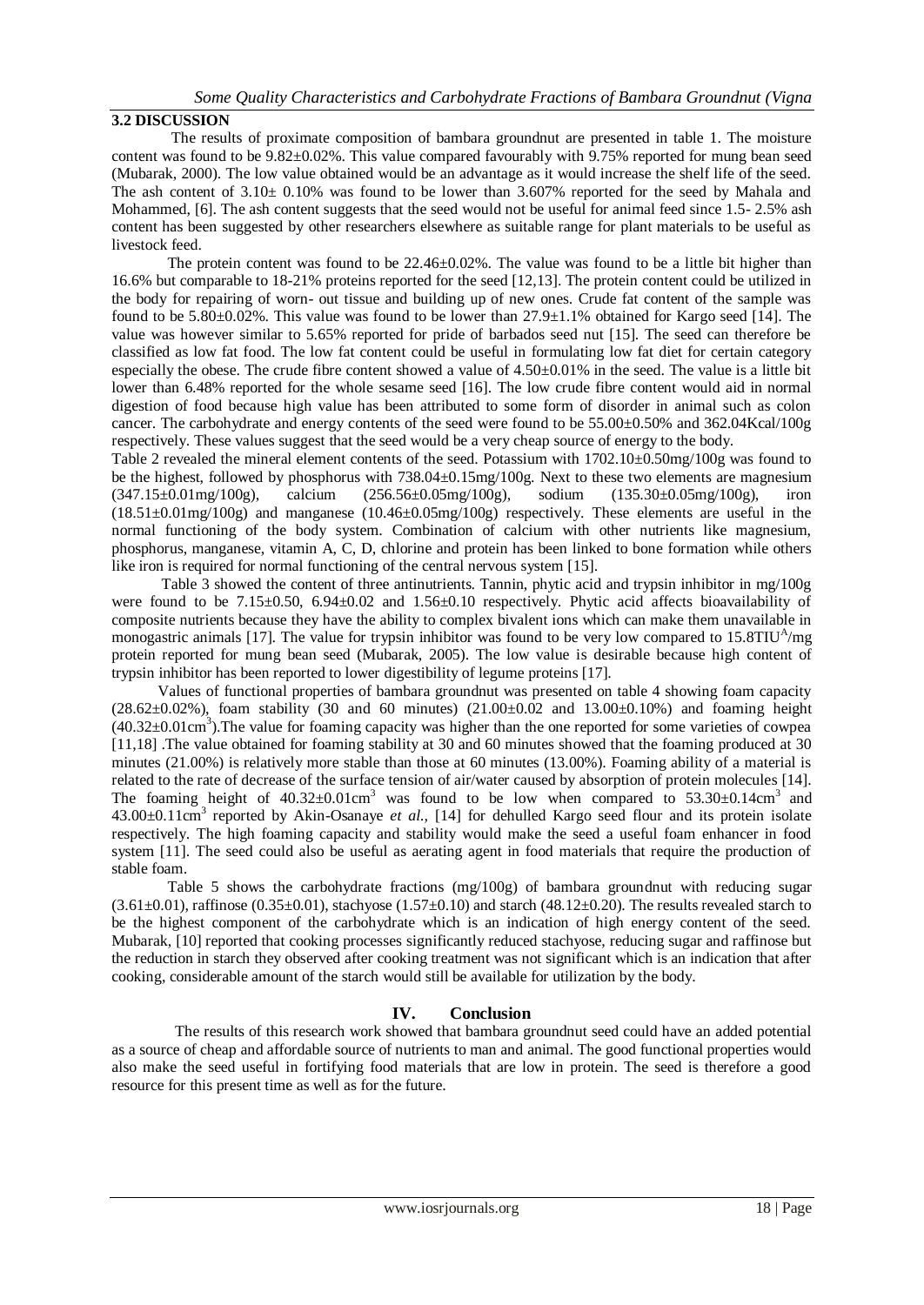# **3.2 DISCUSSION**

 The results of proximate composition of bambara groundnut are presented in table 1. The moisture content was found to be  $9.82 \pm 0.02\%$ . This value compared favourably with 9.75% reported for mung bean seed (Mubarak, 2000). The low value obtained would be an advantage as it would increase the shelf life of the seed. The ash content of  $3.10 \pm 0.10\%$  was found to be lower than 3.607% reported for the seed by Mahala and Mohammed, [6]. The ash content suggests that the seed would not be useful for animal feed since 1.5-2.5% ash content has been suggested by other researchers elsewhere as suitable range for plant materials to be useful as livestock feed.

The protein content was found to be 22.46±0.02%. The value was found to be a little bit higher than 16.6% but comparable to 18-21% proteins reported for the seed [12,13]. The protein content could be utilized in the body for repairing of worn- out tissue and building up of new ones. Crude fat content of the sample was found to be 5.80±0.02%. This value was found to be lower than 27.9±1.1% obtained for Kargo seed [14]. The value was however similar to 5.65% reported for pride of barbados seed nut [15]. The seed can therefore be classified as low fat food. The low fat content could be useful in formulating low fat diet for certain category especially the obese. The crude fibre content showed a value of  $4.50\pm0.01\%$  in the seed. The value is a little bit lower than 6.48% reported for the whole sesame seed [16]. The low crude fibre content would aid in normal digestion of food because high value has been attributed to some form of disorder in animal such as colon cancer. The carbohydrate and energy contents of the seed were found to be 55.00 $\pm$ 0.50% and 362.04Kcal/100g respectively. These values suggest that the seed would be a very cheap source of energy to the body.

Table 2 revealed the mineral element contents of the seed. Potassium with 1702.10±0.50mg/100g was found to be the highest, followed by phosphorus with 738.04±0.15mg/100g. Next to these two elements are magnesium (347.15±0.01mg/100g), calcium (256.56±0.05mg/100g), sodium (135.30±0.05mg/100g), iron (18.51±0.01mg/100g) and manganese (10.46±0.05mg/100g) respectively. These elements are useful in the normal functioning of the body system. Combination of calcium with other nutrients like magnesium, phosphorus, manganese, vitamin A, C, D, chlorine and protein has been linked to bone formation while others like iron is required for normal functioning of the central nervous system [15].

 Table 3 showed the content of three antinutrients. Tannin, phytic acid and trypsin inhibitor in mg/100g were found to be 7.15±0.50, 6.94±0.02 and 1.56±0.10 respectively. Phytic acid affects bioavailability of composite nutrients because they have the ability to complex bivalent ions which can make them unavailable in monogastric animals [17]. The value for trypsin inhibitor was found to be very low compared to  $15.8$ TIU<sup>A</sup>/mg protein reported for mung bean seed (Mubarak, 2005). The low value is desirable because high content of trypsin inhibitor has been reported to lower digestibility of legume proteins [17].

 Values of functional properties of bambara groundnut was presented on table 4 showing foam capacity  $(28.62\pm0.02\%)$ , foam stability (30 and 60 minutes)  $(21.00\pm0.02$  and  $13.00\pm0.10\%)$  and foaming height  $(40.32 \pm 0.01 \text{cm}^3)$ . The value for foaming capacity was higher than the one reported for some varieties of cowpea [11,18] .The value obtained for foaming stability at 30 and 60 minutes showed that the foaming produced at 30 minutes (21.00%) is relatively more stable than those at 60 minutes (13.00%). Foaming ability of a material is related to the rate of decrease of the surface tension of air/water caused by absorption of protein molecules [14]. The foaming height of  $40.32 \pm 0.01 \text{cm}^3$  was found to be low when compared to  $53.30 \pm 0.14 \text{cm}^3$  and 43.00±0.11cm<sup>3</sup> reported by Akin-Osanaye *et al.,* [14] for dehulled Kargo seed flour and its protein isolate respectively. The high foaming capacity and stability would make the seed a useful foam enhancer in food system [11]. The seed could also be useful as aerating agent in food materials that require the production of stable foam.

 Table 5 shows the carbohydrate fractions (mg/100g) of bambara groundnut with reducing sugar  $(3.61\pm0.01)$ , raffinose  $(0.35\pm0.01)$ , stachyose  $(1.57\pm0.10)$  and starch  $(48.12\pm0.20)$ . The results revealed starch to be the highest component of the carbohydrate which is an indication of high energy content of the seed. Mubarak, [10] reported that cooking processes significantly reduced stachyose, reducing sugar and raffinose but the reduction in starch they observed after cooking treatment was not significant which is an indication that after cooking, considerable amount of the starch would still be available for utilization by the body.

## **IV. Conclusion**

 The results of this research work showed that bambara groundnut seed could have an added potential as a source of cheap and affordable source of nutrients to man and animal. The good functional properties would also make the seed useful in fortifying food materials that are low in protein. The seed is therefore a good resource for this present time as well as for the future.